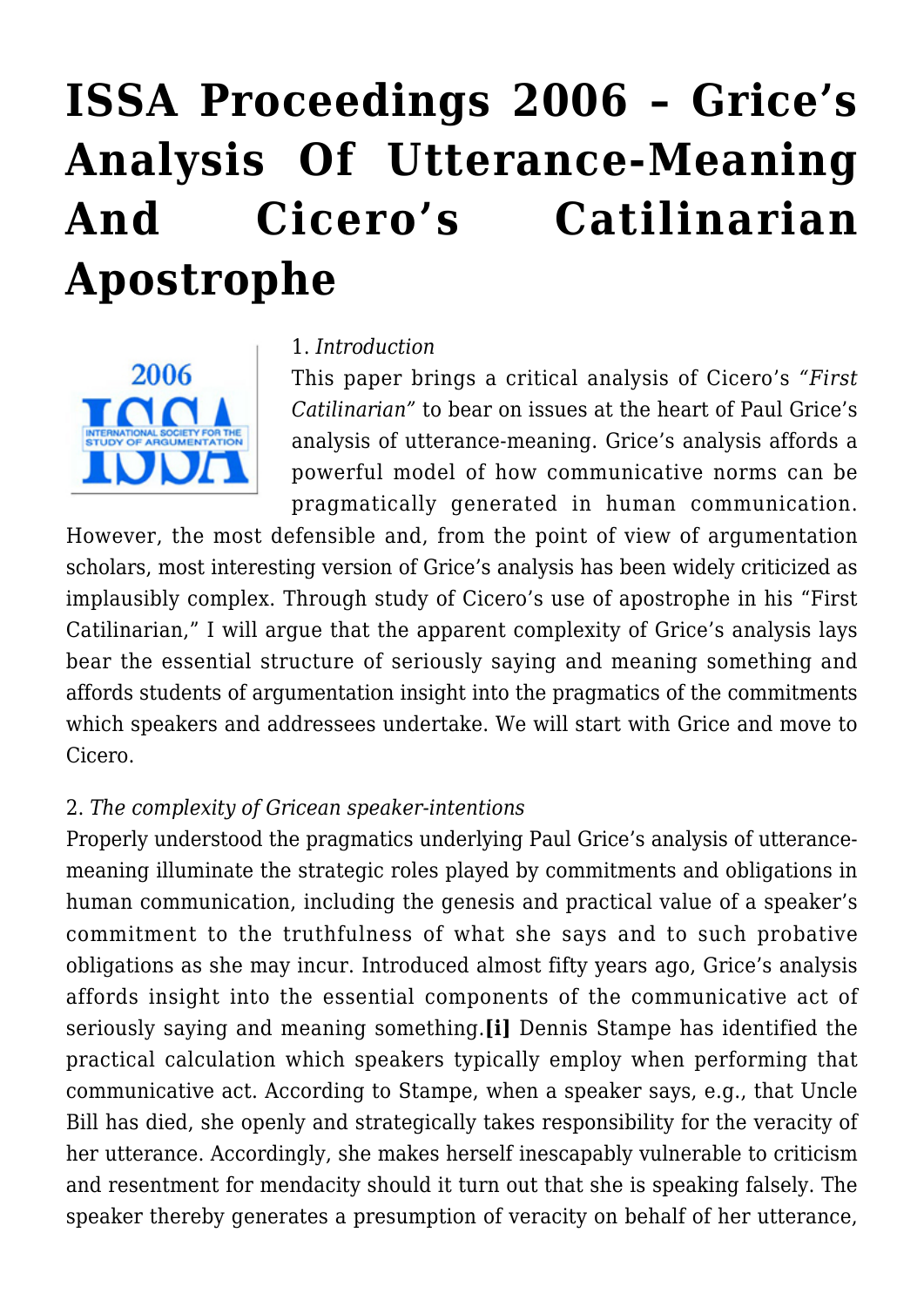# **[ISSA Proceedings 2006 – Grice's](https://rozenbergquarterly.com/issa-proceedings-2006-grices-analysis-of-utterance-meaning-and-ciceros-catilinarian-apostrophe/) [Analysis Of Utterance-Meaning](https://rozenbergquarterly.com/issa-proceedings-2006-grices-analysis-of-utterance-meaning-and-ciceros-catilinarian-apostrophe/) [And Cicero's Catilinarian](https://rozenbergquarterly.com/issa-proceedings-2006-grices-analysis-of-utterance-meaning-and-ciceros-catilinarian-apostrophe/) [Apostrophe](https://rozenbergquarterly.com/issa-proceedings-2006-grices-analysis-of-utterance-meaning-and-ciceros-catilinarian-apostrophe/)**



#### 1. *Introduction*

This paper brings a critical analysis of Cicero's *"First Catilinarian"* to bear on issues at the heart of Paul Grice's analysis of utterance-meaning. Grice's analysis affords a powerful model of how communicative norms can be pragmatically generated in human communication.

However, the most defensible and, from the point of view of argumentation scholars, most interesting version of Grice's analysis has been widely criticized as implausibly complex. Through study of Cicero's use of apostrophe in his "First Catilinarian," I will argue that the apparent complexity of Grice's analysis lays bear the essential structure of seriously saying and meaning something and affords students of argumentation insight into the pragmatics of the commitments which speakers and addressees undertake. We will start with Grice and move to Cicero.

#### 2. *The complexity of Gricean speaker-intentions*

Properly understood the pragmatics underlying Paul Grice's analysis of utterancemeaning illuminate the strategic roles played by commitments and obligations in human communication, including the genesis and practical value of a speaker's commitment to the truthfulness of what she says and to such probative obligations as she may incur. Introduced almost fifty years ago, Grice's analysis affords insight into the essential components of the communicative act of seriously saying and meaning something.**[i]** Dennis Stampe has identified the practical calculation which speakers typically employ when performing that communicative act. According to Stampe, when a speaker says, e.g., that Uncle Bill has died, she openly and strategically takes responsibility for the veracity of her utterance. Accordingly, she makes herself inescapably vulnerable to criticism and resentment for mendacity should it turn out that she is speaking falsely. The speaker thereby generates a presumption of veracity on behalf of her utterance,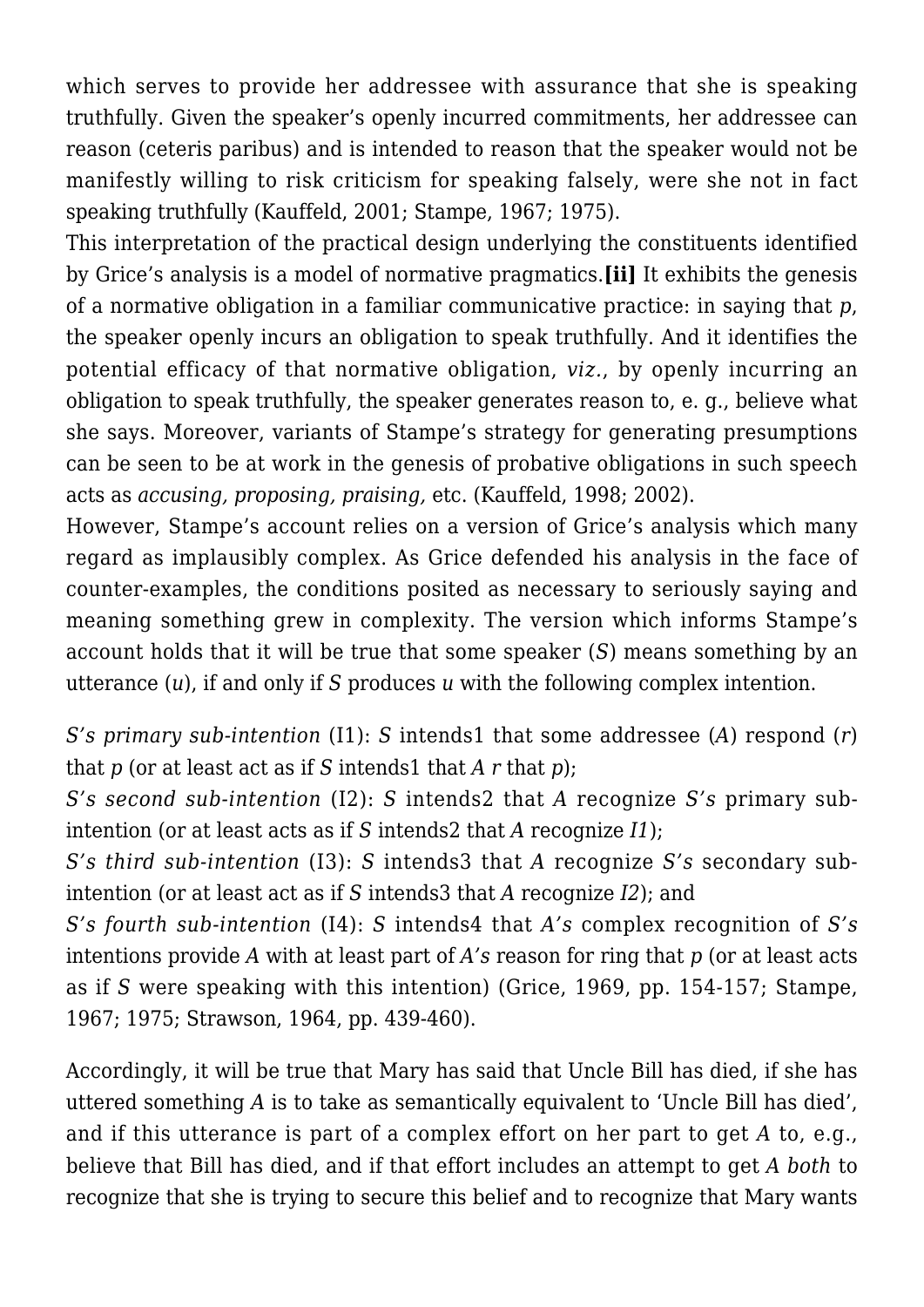which serves to provide her addressee with assurance that she is speaking truthfully. Given the speaker's openly incurred commitments, her addressee can reason (ceteris paribus) and is intended to reason that the speaker would not be manifestly willing to risk criticism for speaking falsely, were she not in fact speaking truthfully (Kauffeld, 2001; Stampe, 1967; 1975).

This interpretation of the practical design underlying the constituents identified by Grice's analysis is a model of normative pragmatics.**[ii]** It exhibits the genesis of a normative obligation in a familiar communicative practice: in saying that *p*, the speaker openly incurs an obligation to speak truthfully. And it identifies the potential efficacy of that normative obligation, *viz.*, by openly incurring an obligation to speak truthfully, the speaker generates reason to, e. g., believe what she says. Moreover, variants of Stampe's strategy for generating presumptions can be seen to be at work in the genesis of probative obligations in such speech acts as *accusing, proposing, praising,* etc. (Kauffeld, 1998; 2002).

However, Stampe's account relies on a version of Grice's analysis which many regard as implausibly complex. As Grice defended his analysis in the face of counter-examples, the conditions posited as necessary to seriously saying and meaning something grew in complexity. The version which informs Stampe's account holds that it will be true that some speaker (*S*) means something by an utterance (*u*), if and only if *S* produces *u* with the following complex intention.

*S's primary sub-intention* (I1): *S* intends1 that some addressee (*A*) respond (*r*) that *p* (or at least act as if *S* intends1 that *A r* that *p*);

*S's second sub-intention* (I2): *S* intends2 that *A* recognize *S's* primary subintention (or at least acts as if *S* intends2 that *A* recognize *I1*);

*S's third sub-intention* (I3): *S* intends3 that *A* recognize *S's* secondary subintention (or at least act as if *S* intends3 that *A* recognize *I2*); and

*S's fourth sub-intention* (I4): *S* intends4 that *A's* complex recognition of *S's* intentions provide *A* with at least part of *A's* reason for ring that *p* (or at least acts as if *S* were speaking with this intention) (Grice, 1969, pp. 154-157; Stampe, 1967; 1975; Strawson, 1964, pp. 439-460).

Accordingly, it will be true that Mary has said that Uncle Bill has died, if she has uttered something *A* is to take as semantically equivalent to 'Uncle Bill has died', and if this utterance is part of a complex effort on her part to get *A* to, e.g., believe that Bill has died, and if that effort includes an attempt to get *A both* to recognize that she is trying to secure this belief and to recognize that Mary wants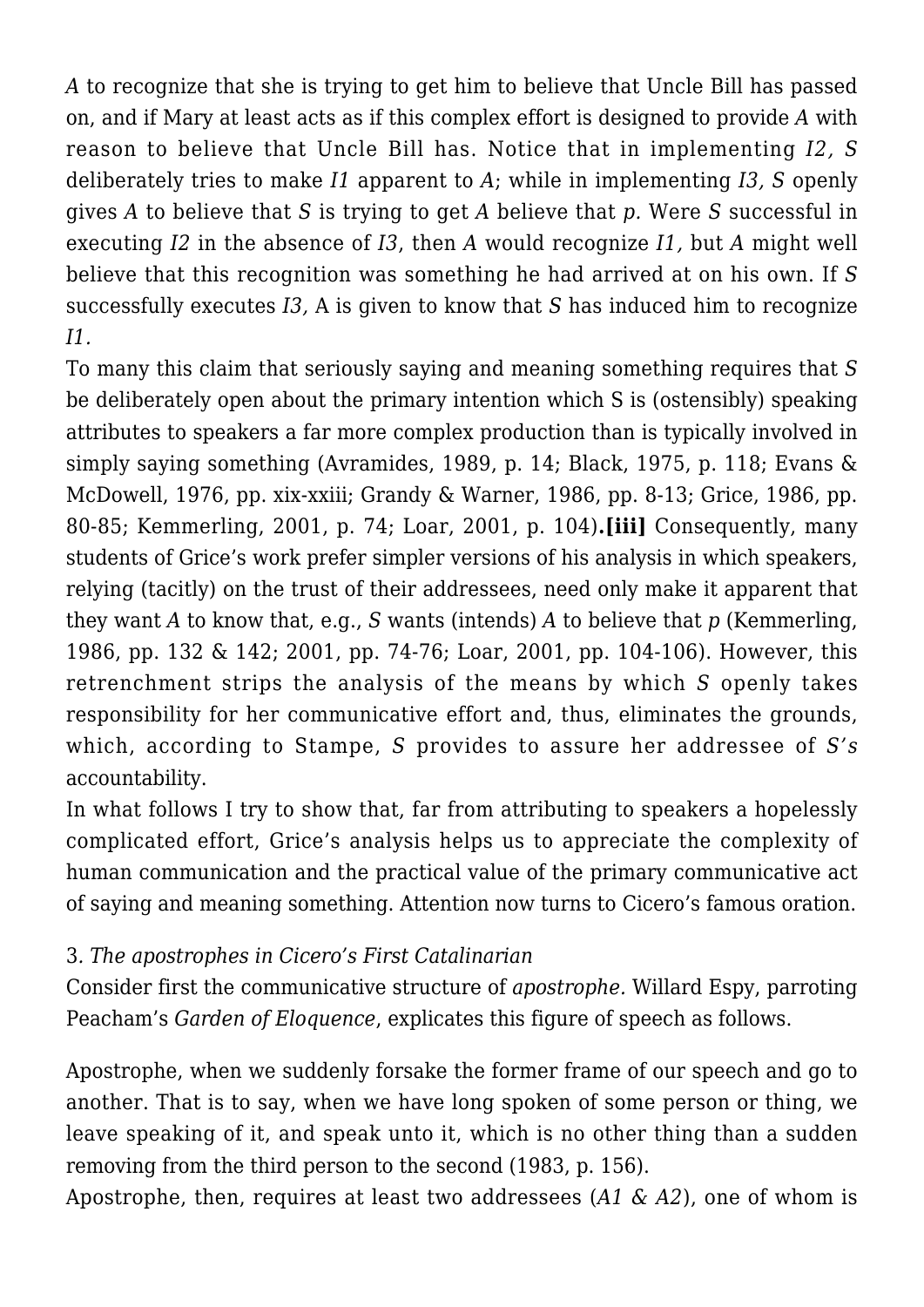*A* to recognize that she is trying to get him to believe that Uncle Bill has passed on, and if Mary at least acts as if this complex effort is designed to provide *A* with reason to believe that Uncle Bill has. Notice that in implementing *I2, S* deliberately tries to make *I1* apparent to *A*; while in implementing *I3, S* openly gives *A* to believe that *S* is trying to get *A* believe that *p.* Were *S* successful in executing *I2* in the absence of *I3*, then *A* would recognize *I1,* but *A* might well believe that this recognition was something he had arrived at on his own. If *S* successfully executes *I3,* A is given to know that *S* has induced him to recognize *I1.*

To many this claim that seriously saying and meaning something requires that *S* be deliberately open about the primary intention which S is (ostensibly) speaking attributes to speakers a far more complex production than is typically involved in simply saying something (Avramides, 1989, p. 14; Black, 1975, p. 118; Evans & McDowell, 1976, pp. xix-xxiii; Grandy & Warner, 1986, pp. 8-13; Grice, 1986, pp. 80-85; Kemmerling, 2001, p. 74; Loar, 2001, p. 104)**.[iii]** Consequently, many students of Grice's work prefer simpler versions of his analysis in which speakers, relying (tacitly) on the trust of their addressees, need only make it apparent that they want *A* to know that, e.g., *S* wants (intends) *A* to believe that *p* (Kemmerling, 1986, pp. 132 & 142; 2001, pp. 74-76; Loar, 2001, pp. 104-106). However, this retrenchment strips the analysis of the means by which *S* openly takes responsibility for her communicative effort and, thus, eliminates the grounds, which, according to Stampe, *S* provides to assure her addressee of *S's* accountability.

In what follows I try to show that, far from attributing to speakers a hopelessly complicated effort, Grice's analysis helps us to appreciate the complexity of human communication and the practical value of the primary communicative act of saying and meaning something. Attention now turns to Cicero's famous oration.

#### 3*. The apostrophes in Cicero's First Catalinarian*

Consider first the communicative structure of *apostrophe.* Willard Espy, parroting Peacham's *Garden of Eloquence*, explicates this figure of speech as follows.

Apostrophe, when we suddenly forsake the former frame of our speech and go to another. That is to say, when we have long spoken of some person or thing, we leave speaking of it, and speak unto it, which is no other thing than a sudden removing from the third person to the second (1983, p. 156).

Apostrophe, then, requires at least two addressees (*A1 & A2*), one of whom is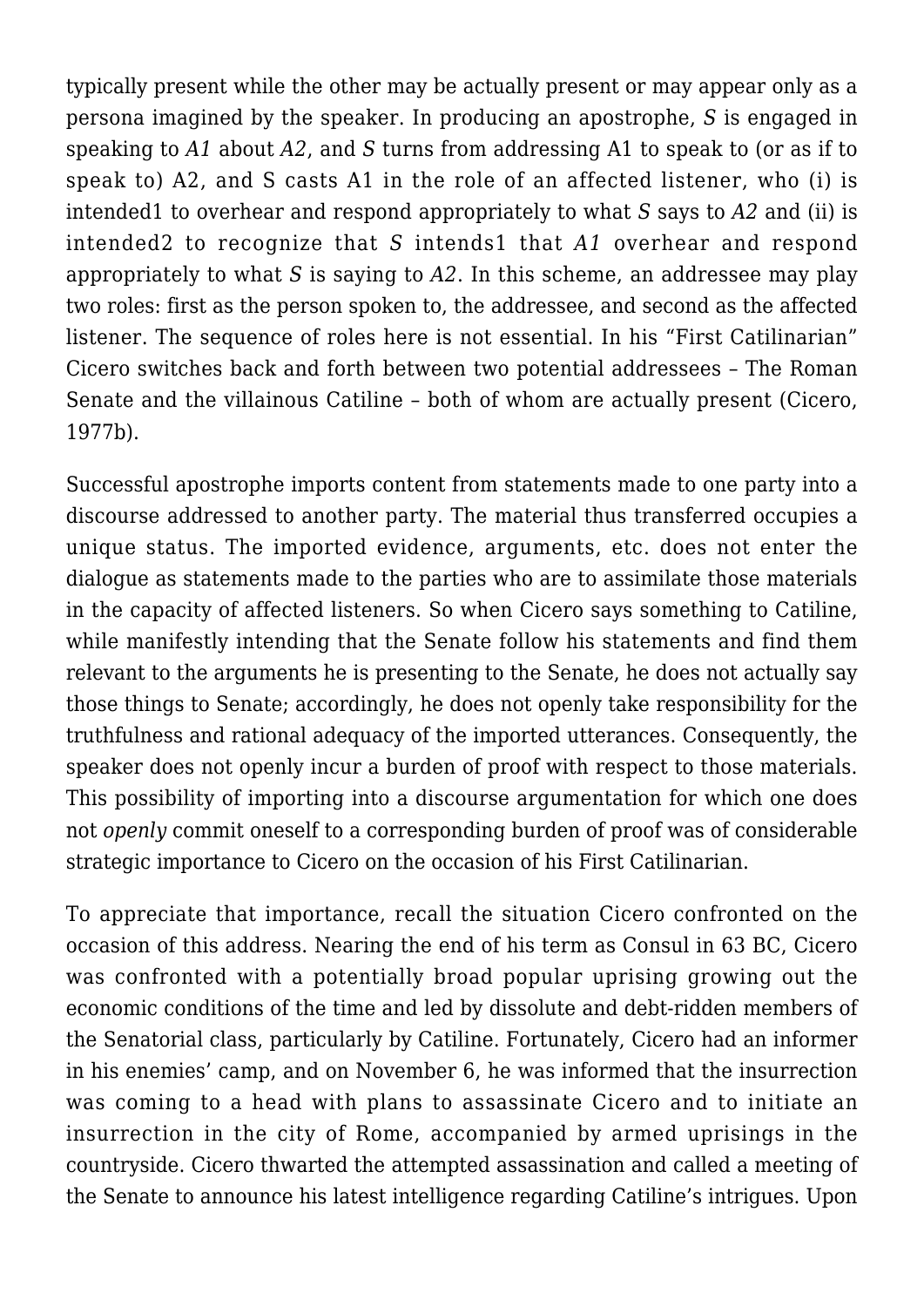typically present while the other may be actually present or may appear only as a persona imagined by the speaker. In producing an apostrophe, *S* is engaged in speaking to *A1* about *A2*, and *S* turns from addressing A1 to speak to (or as if to speak to) A2, and S casts A1 in the role of an affected listener, who (i) is intended1 to overhear and respond appropriately to what *S* says to *A2* and (ii) is intended2 to recognize that *S* intends1 that *A1* overhear and respond appropriately to what *S* is saying to *A2*. In this scheme, an addressee may play two roles: first as the person spoken to, the addressee, and second as the affected listener. The sequence of roles here is not essential. In his "First Catilinarian" Cicero switches back and forth between two potential addressees – The Roman Senate and the villainous Catiline – both of whom are actually present (Cicero, 1977b).

Successful apostrophe imports content from statements made to one party into a discourse addressed to another party. The material thus transferred occupies a unique status. The imported evidence, arguments, etc. does not enter the dialogue as statements made to the parties who are to assimilate those materials in the capacity of affected listeners. So when Cicero says something to Catiline, while manifestly intending that the Senate follow his statements and find them relevant to the arguments he is presenting to the Senate, he does not actually say those things to Senate; accordingly, he does not openly take responsibility for the truthfulness and rational adequacy of the imported utterances. Consequently, the speaker does not openly incur a burden of proof with respect to those materials. This possibility of importing into a discourse argumentation for which one does not *openly* commit oneself to a corresponding burden of proof was of considerable strategic importance to Cicero on the occasion of his First Catilinarian.

To appreciate that importance, recall the situation Cicero confronted on the occasion of this address. Nearing the end of his term as Consul in 63 BC, Cicero was confronted with a potentially broad popular uprising growing out the economic conditions of the time and led by dissolute and debt-ridden members of the Senatorial class, particularly by Catiline. Fortunately, Cicero had an informer in his enemies' camp, and on November 6, he was informed that the insurrection was coming to a head with plans to assassinate Cicero and to initiate an insurrection in the city of Rome, accompanied by armed uprisings in the countryside. Cicero thwarted the attempted assassination and called a meeting of the Senate to announce his latest intelligence regarding Catiline's intrigues. Upon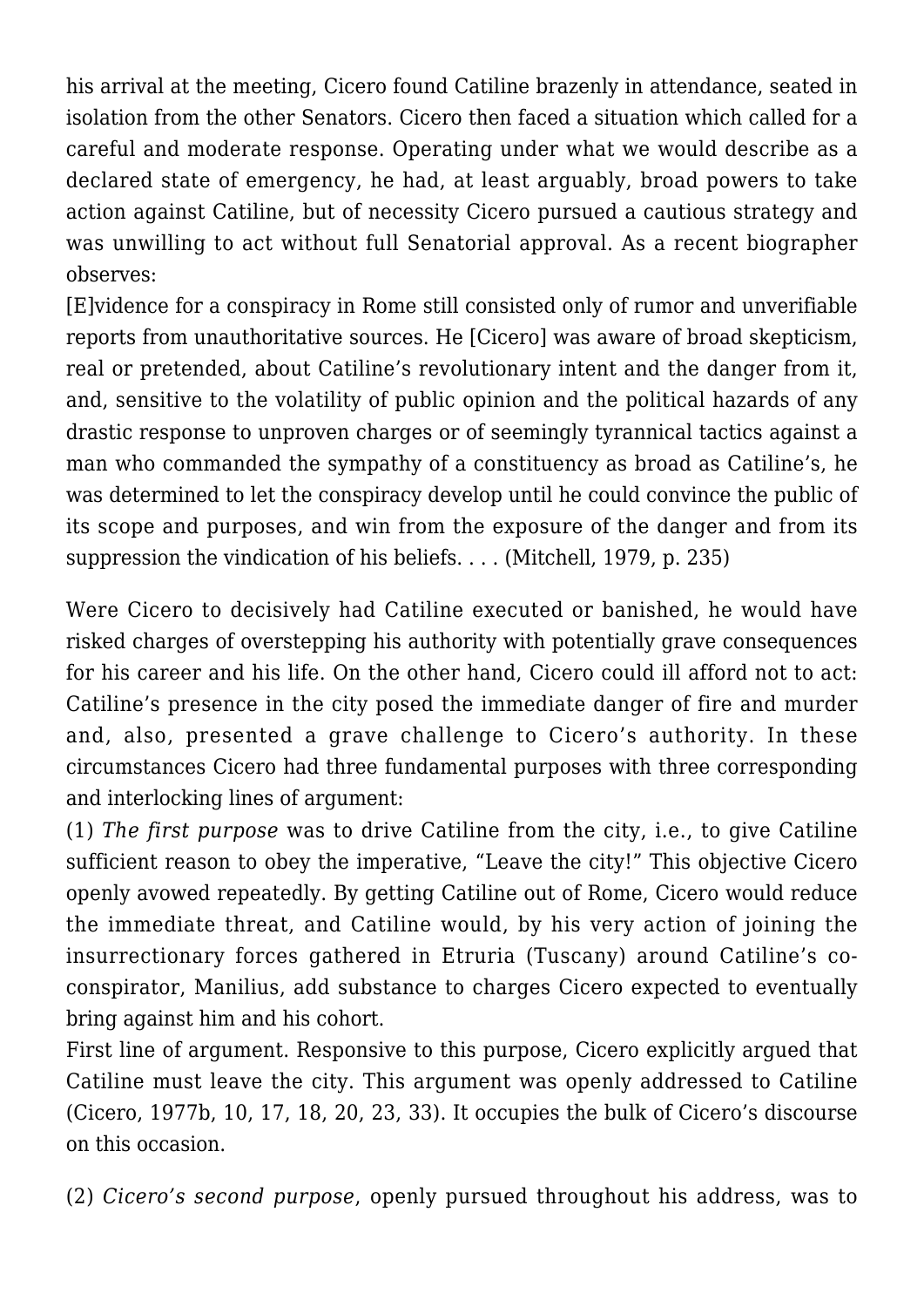his arrival at the meeting, Cicero found Catiline brazenly in attendance, seated in isolation from the other Senators. Cicero then faced a situation which called for a careful and moderate response. Operating under what we would describe as a declared state of emergency, he had, at least arguably, broad powers to take action against Catiline, but of necessity Cicero pursued a cautious strategy and was unwilling to act without full Senatorial approval. As a recent biographer observes:

[E]vidence for a conspiracy in Rome still consisted only of rumor and unverifiable reports from unauthoritative sources. He [Cicero] was aware of broad skepticism, real or pretended, about Catiline's revolutionary intent and the danger from it, and, sensitive to the volatility of public opinion and the political hazards of any drastic response to unproven charges or of seemingly tyrannical tactics against a man who commanded the sympathy of a constituency as broad as Catiline's, he was determined to let the conspiracy develop until he could convince the public of its scope and purposes, and win from the exposure of the danger and from its suppression the vindication of his beliefs. . . . (Mitchell, 1979, p. 235)

Were Cicero to decisively had Catiline executed or banished, he would have risked charges of overstepping his authority with potentially grave consequences for his career and his life. On the other hand, Cicero could ill afford not to act: Catiline's presence in the city posed the immediate danger of fire and murder and, also, presented a grave challenge to Cicero's authority. In these circumstances Cicero had three fundamental purposes with three corresponding and interlocking lines of argument:

(1) *The first purpose* was to drive Catiline from the city, i.e., to give Catiline sufficient reason to obey the imperative, "Leave the city!" This objective Cicero openly avowed repeatedly. By getting Catiline out of Rome, Cicero would reduce the immediate threat, and Catiline would, by his very action of joining the insurrectionary forces gathered in Etruria (Tuscany) around Catiline's coconspirator, Manilius, add substance to charges Cicero expected to eventually bring against him and his cohort.

First line of argument. Responsive to this purpose, Cicero explicitly argued that Catiline must leave the city. This argument was openly addressed to Catiline (Cicero, 1977b, 10, 17, 18, 20, 23, 33). It occupies the bulk of Cicero's discourse on this occasion.

(2) *Cicero's second purpose*, openly pursued throughout his address, was to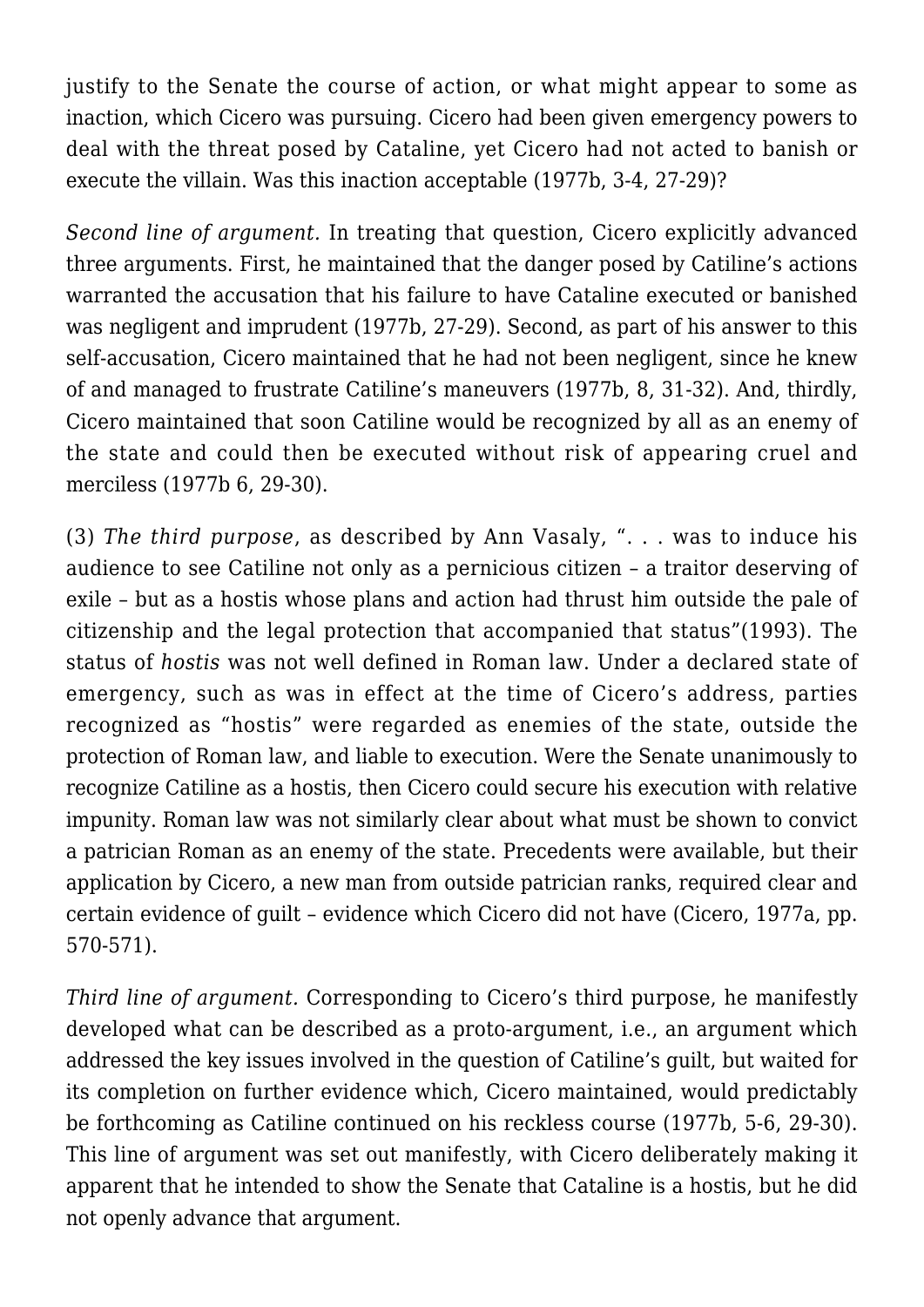justify to the Senate the course of action, or what might appear to some as inaction, which Cicero was pursuing. Cicero had been given emergency powers to deal with the threat posed by Cataline, yet Cicero had not acted to banish or execute the villain. Was this inaction acceptable (1977b, 3-4, 27-29)?

*Second line of argument.* In treating that question, Cicero explicitly advanced three arguments. First, he maintained that the danger posed by Catiline's actions warranted the accusation that his failure to have Cataline executed or banished was negligent and imprudent (1977b, 27-29). Second, as part of his answer to this self-accusation, Cicero maintained that he had not been negligent, since he knew of and managed to frustrate Catiline's maneuvers (1977b, 8, 31-32). And, thirdly, Cicero maintained that soon Catiline would be recognized by all as an enemy of the state and could then be executed without risk of appearing cruel and merciless (1977b 6, 29-30).

(3) *The third purpose*, as described by Ann Vasaly, ". . . was to induce his audience to see Catiline not only as a pernicious citizen – a traitor deserving of exile – but as a hostis whose plans and action had thrust him outside the pale of citizenship and the legal protection that accompanied that status"(1993). The status of *hostis* was not well defined in Roman law. Under a declared state of emergency, such as was in effect at the time of Cicero's address, parties recognized as "hostis" were regarded as enemies of the state, outside the protection of Roman law, and liable to execution. Were the Senate unanimously to recognize Catiline as a hostis, then Cicero could secure his execution with relative impunity. Roman law was not similarly clear about what must be shown to convict a patrician Roman as an enemy of the state. Precedents were available, but their application by Cicero, a new man from outside patrician ranks, required clear and certain evidence of guilt – evidence which Cicero did not have (Cicero, 1977a, pp. 570-571).

*Third line of argument.* Corresponding to Cicero's third purpose, he manifestly developed what can be described as a proto-argument, i.e., an argument which addressed the key issues involved in the question of Catiline's guilt, but waited for its completion on further evidence which, Cicero maintained, would predictably be forthcoming as Catiline continued on his reckless course (1977b, 5-6, 29-30). This line of argument was set out manifestly, with Cicero deliberately making it apparent that he intended to show the Senate that Cataline is a hostis, but he did not openly advance that argument.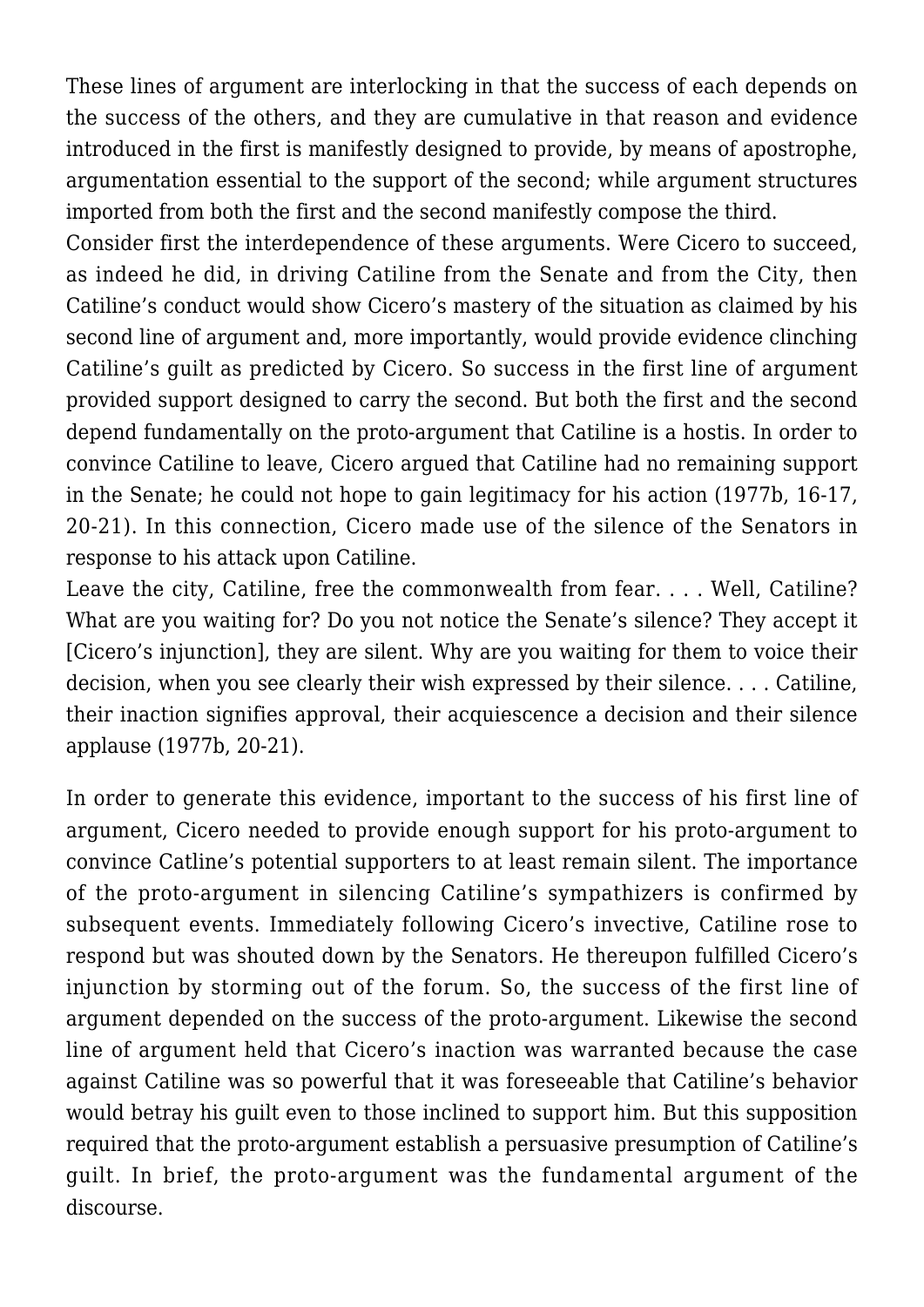These lines of argument are interlocking in that the success of each depends on the success of the others, and they are cumulative in that reason and evidence introduced in the first is manifestly designed to provide, by means of apostrophe, argumentation essential to the support of the second; while argument structures imported from both the first and the second manifestly compose the third.

Consider first the interdependence of these arguments. Were Cicero to succeed, as indeed he did, in driving Catiline from the Senate and from the City, then Catiline's conduct would show Cicero's mastery of the situation as claimed by his second line of argument and, more importantly, would provide evidence clinching Catiline's guilt as predicted by Cicero. So success in the first line of argument provided support designed to carry the second. But both the first and the second depend fundamentally on the proto-argument that Catiline is a hostis. In order to convince Catiline to leave, Cicero argued that Catiline had no remaining support in the Senate; he could not hope to gain legitimacy for his action (1977b, 16-17, 20-21). In this connection, Cicero made use of the silence of the Senators in response to his attack upon Catiline.

Leave the city, Catiline, free the commonwealth from fear. . . . Well, Catiline? What are you waiting for? Do you not notice the Senate's silence? They accept it [Cicero's injunction], they are silent. Why are you waiting for them to voice their decision, when you see clearly their wish expressed by their silence. . . . Catiline, their inaction signifies approval, their acquiescence a decision and their silence applause (1977b, 20-21).

In order to generate this evidence, important to the success of his first line of argument, Cicero needed to provide enough support for his proto-argument to convince Catline's potential supporters to at least remain silent. The importance of the proto-argument in silencing Catiline's sympathizers is confirmed by subsequent events. Immediately following Cicero's invective, Catiline rose to respond but was shouted down by the Senators. He thereupon fulfilled Cicero's injunction by storming out of the forum. So, the success of the first line of argument depended on the success of the proto-argument. Likewise the second line of argument held that Cicero's inaction was warranted because the case against Catiline was so powerful that it was foreseeable that Catiline's behavior would betray his guilt even to those inclined to support him. But this supposition required that the proto-argument establish a persuasive presumption of Catiline's guilt. In brief, the proto-argument was the fundamental argument of the discourse.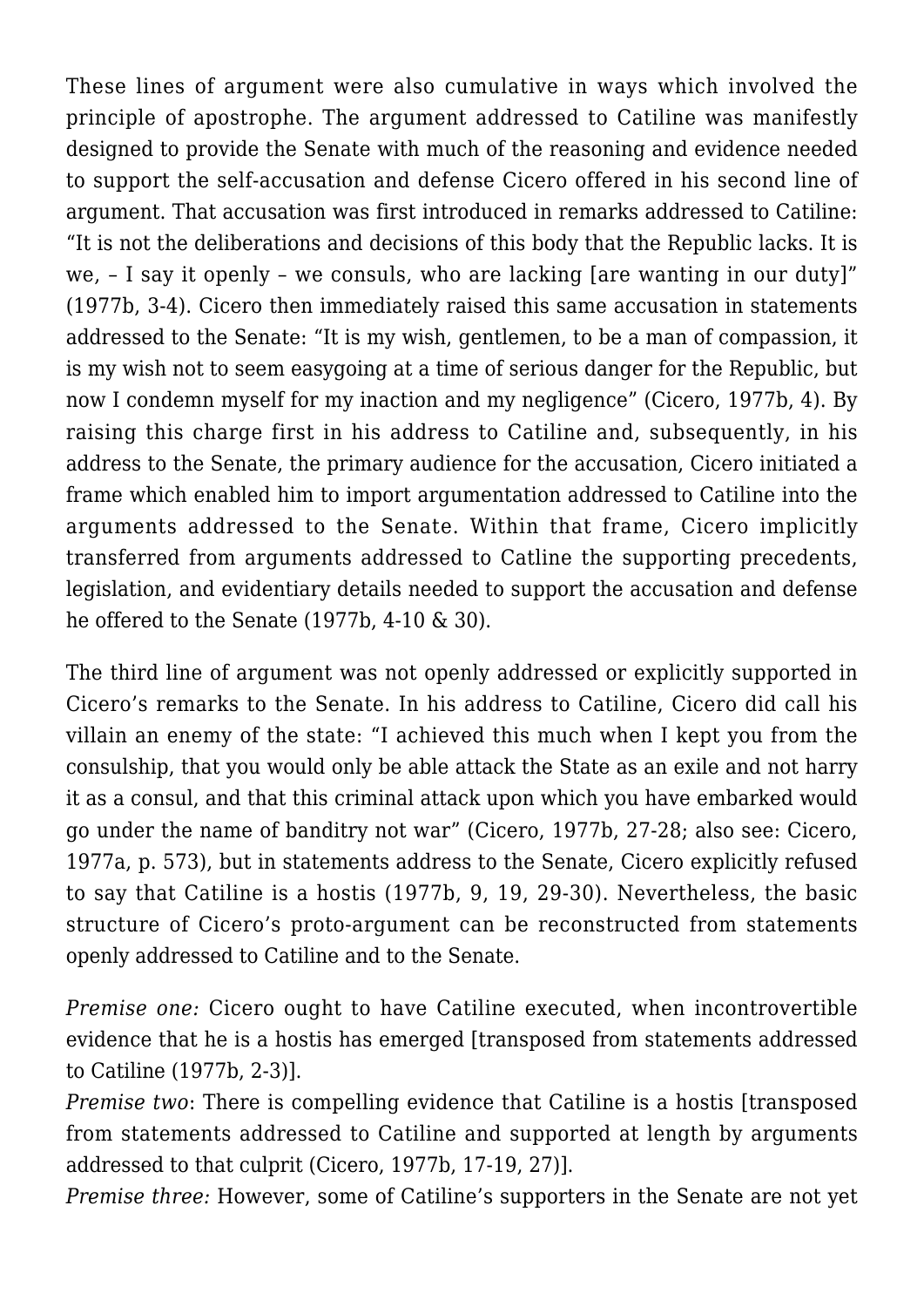These lines of argument were also cumulative in ways which involved the principle of apostrophe. The argument addressed to Catiline was manifestly designed to provide the Senate with much of the reasoning and evidence needed to support the self-accusation and defense Cicero offered in his second line of argument. That accusation was first introduced in remarks addressed to Catiline: "It is not the deliberations and decisions of this body that the Republic lacks. It is we, – I say it openly – we consuls, who are lacking [are wanting in our duty]" (1977b, 3-4). Cicero then immediately raised this same accusation in statements addressed to the Senate: "It is my wish, gentlemen, to be a man of compassion, it is my wish not to seem easygoing at a time of serious danger for the Republic, but now I condemn myself for my inaction and my negligence" (Cicero, 1977b, 4). By raising this charge first in his address to Catiline and, subsequently, in his address to the Senate, the primary audience for the accusation, Cicero initiated a frame which enabled him to import argumentation addressed to Catiline into the arguments addressed to the Senate. Within that frame, Cicero implicitly transferred from arguments addressed to Catline the supporting precedents, legislation, and evidentiary details needed to support the accusation and defense he offered to the Senate (1977b, 4-10 & 30).

The third line of argument was not openly addressed or explicitly supported in Cicero's remarks to the Senate. In his address to Catiline, Cicero did call his villain an enemy of the state: "I achieved this much when I kept you from the consulship, that you would only be able attack the State as an exile and not harry it as a consul, and that this criminal attack upon which you have embarked would go under the name of banditry not war" (Cicero, 1977b, 27-28; also see: Cicero, 1977a, p. 573), but in statements address to the Senate, Cicero explicitly refused to say that Catiline is a hostis (1977b, 9, 19, 29-30). Nevertheless, the basic structure of Cicero's proto-argument can be reconstructed from statements openly addressed to Catiline and to the Senate.

*Premise one:* Cicero ought to have Catiline executed, when incontrovertible evidence that he is a hostis has emerged [transposed from statements addressed to Catiline (1977b, 2-3)].

*Premise two:* There is compelling evidence that Catiline is a hostis [transposed] from statements addressed to Catiline and supported at length by arguments addressed to that culprit (Cicero, 1977b, 17-19, 27)].

*Premise three:* However, some of Catiline's supporters in the Senate are not yet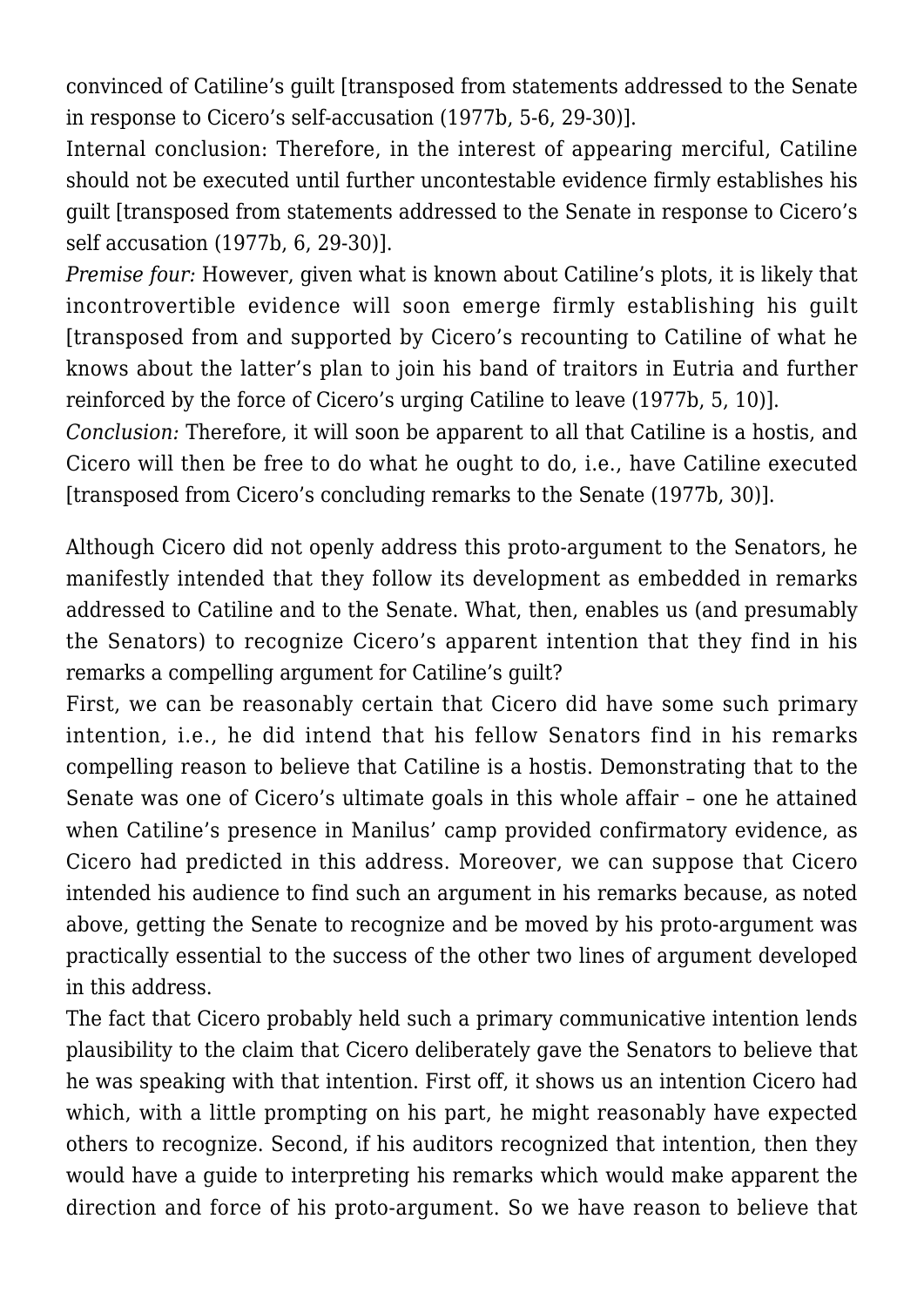convinced of Catiline's guilt [transposed from statements addressed to the Senate in response to Cicero's self-accusation (1977b, 5-6, 29-30)].

Internal conclusion: Therefore, in the interest of appearing merciful, Catiline should not be executed until further uncontestable evidence firmly establishes his guilt [transposed from statements addressed to the Senate in response to Cicero's self accusation (1977b, 6, 29-30)].

*Premise four:* However, given what is known about Catiline's plots, it is likely that incontrovertible evidence will soon emerge firmly establishing his guilt [transposed from and supported by Cicero's recounting to Catiline of what he knows about the latter's plan to join his band of traitors in Eutria and further reinforced by the force of Cicero's urging Catiline to leave (1977b, 5, 10)].

*Conclusion:* Therefore, it will soon be apparent to all that Catiline is a hostis, and Cicero will then be free to do what he ought to do, i.e., have Catiline executed [transposed from Cicero's concluding remarks to the Senate (1977b, 30)].

Although Cicero did not openly address this proto-argument to the Senators, he manifestly intended that they follow its development as embedded in remarks addressed to Catiline and to the Senate. What, then, enables us (and presumably the Senators) to recognize Cicero's apparent intention that they find in his remarks a compelling argument for Catiline's guilt?

First, we can be reasonably certain that Cicero did have some such primary intention, i.e., he did intend that his fellow Senators find in his remarks compelling reason to believe that Catiline is a hostis. Demonstrating that to the Senate was one of Cicero's ultimate goals in this whole affair – one he attained when Catiline's presence in Manilus' camp provided confirmatory evidence, as Cicero had predicted in this address. Moreover, we can suppose that Cicero intended his audience to find such an argument in his remarks because, as noted above, getting the Senate to recognize and be moved by his proto-argument was practically essential to the success of the other two lines of argument developed in this address.

The fact that Cicero probably held such a primary communicative intention lends plausibility to the claim that Cicero deliberately gave the Senators to believe that he was speaking with that intention. First off, it shows us an intention Cicero had which, with a little prompting on his part, he might reasonably have expected others to recognize. Second, if his auditors recognized that intention, then they would have a guide to interpreting his remarks which would make apparent the direction and force of his proto-argument. So we have reason to believe that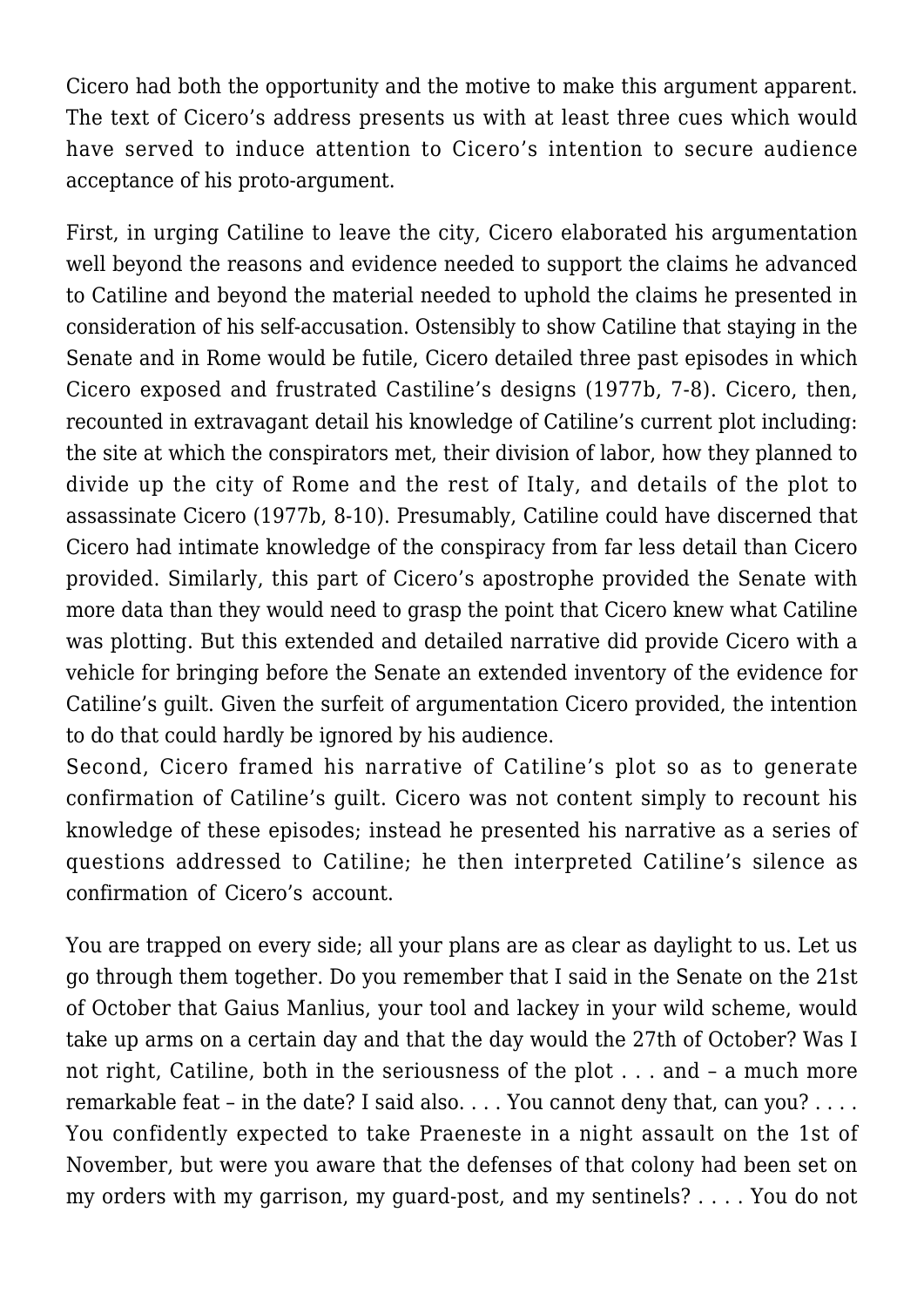Cicero had both the opportunity and the motive to make this argument apparent. The text of Cicero's address presents us with at least three cues which would have served to induce attention to Cicero's intention to secure audience acceptance of his proto-argument.

First, in urging Catiline to leave the city, Cicero elaborated his argumentation well beyond the reasons and evidence needed to support the claims he advanced to Catiline and beyond the material needed to uphold the claims he presented in consideration of his self-accusation. Ostensibly to show Catiline that staying in the Senate and in Rome would be futile, Cicero detailed three past episodes in which Cicero exposed and frustrated Castiline's designs (1977b, 7-8). Cicero, then, recounted in extravagant detail his knowledge of Catiline's current plot including: the site at which the conspirators met, their division of labor, how they planned to divide up the city of Rome and the rest of Italy, and details of the plot to assassinate Cicero (1977b, 8-10). Presumably, Catiline could have discerned that Cicero had intimate knowledge of the conspiracy from far less detail than Cicero provided. Similarly, this part of Cicero's apostrophe provided the Senate with more data than they would need to grasp the point that Cicero knew what Catiline was plotting. But this extended and detailed narrative did provide Cicero with a vehicle for bringing before the Senate an extended inventory of the evidence for Catiline's guilt. Given the surfeit of argumentation Cicero provided, the intention to do that could hardly be ignored by his audience.

Second, Cicero framed his narrative of Catiline's plot so as to generate confirmation of Catiline's guilt. Cicero was not content simply to recount his knowledge of these episodes; instead he presented his narrative as a series of questions addressed to Catiline; he then interpreted Catiline's silence as confirmation of Cicero's account.

You are trapped on every side; all your plans are as clear as daylight to us. Let us go through them together. Do you remember that I said in the Senate on the 21st of October that Gaius Manlius, your tool and lackey in your wild scheme, would take up arms on a certain day and that the day would the 27th of October? Was I not right, Catiline, both in the seriousness of the plot . . . and – a much more remarkable feat – in the date? I said also. . . . You cannot deny that, can you? . . . . You confidently expected to take Praeneste in a night assault on the 1st of November, but were you aware that the defenses of that colony had been set on my orders with my garrison, my guard-post, and my sentinels? . . . . You do not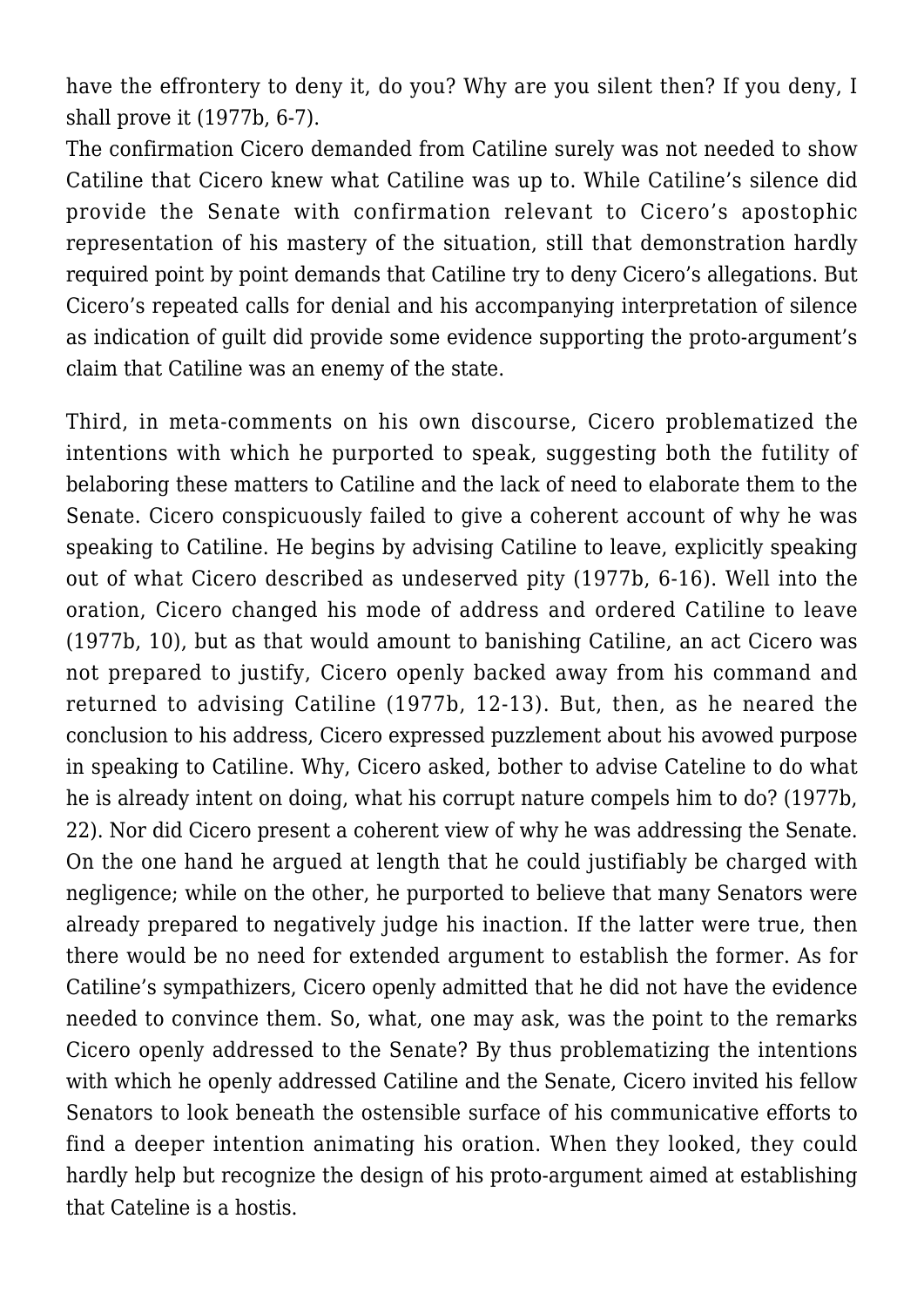have the effrontery to deny it, do you? Why are you silent then? If you deny, I shall prove it (1977b, 6-7).

The confirmation Cicero demanded from Catiline surely was not needed to show Catiline that Cicero knew what Catiline was up to. While Catiline's silence did provide the Senate with confirmation relevant to Cicero's apostophic representation of his mastery of the situation, still that demonstration hardly required point by point demands that Catiline try to deny Cicero's allegations. But Cicero's repeated calls for denial and his accompanying interpretation of silence as indication of guilt did provide some evidence supporting the proto-argument's claim that Catiline was an enemy of the state.

Third, in meta-comments on his own discourse, Cicero problematized the intentions with which he purported to speak, suggesting both the futility of belaboring these matters to Catiline and the lack of need to elaborate them to the Senate. Cicero conspicuously failed to give a coherent account of why he was speaking to Catiline. He begins by advising Catiline to leave, explicitly speaking out of what Cicero described as undeserved pity (1977b, 6-16). Well into the oration, Cicero changed his mode of address and ordered Catiline to leave (1977b, 10), but as that would amount to banishing Catiline, an act Cicero was not prepared to justify, Cicero openly backed away from his command and returned to advising Catiline (1977b, 12-13). But, then, as he neared the conclusion to his address, Cicero expressed puzzlement about his avowed purpose in speaking to Catiline. Why, Cicero asked, bother to advise Cateline to do what he is already intent on doing, what his corrupt nature compels him to do? (1977b, 22). Nor did Cicero present a coherent view of why he was addressing the Senate. On the one hand he argued at length that he could justifiably be charged with negligence; while on the other, he purported to believe that many Senators were already prepared to negatively judge his inaction. If the latter were true, then there would be no need for extended argument to establish the former. As for Catiline's sympathizers, Cicero openly admitted that he did not have the evidence needed to convince them. So, what, one may ask, was the point to the remarks Cicero openly addressed to the Senate? By thus problematizing the intentions with which he openly addressed Catiline and the Senate, Cicero invited his fellow Senators to look beneath the ostensible surface of his communicative efforts to find a deeper intention animating his oration. When they looked, they could hardly help but recognize the design of his proto-argument aimed at establishing that Cateline is a hostis.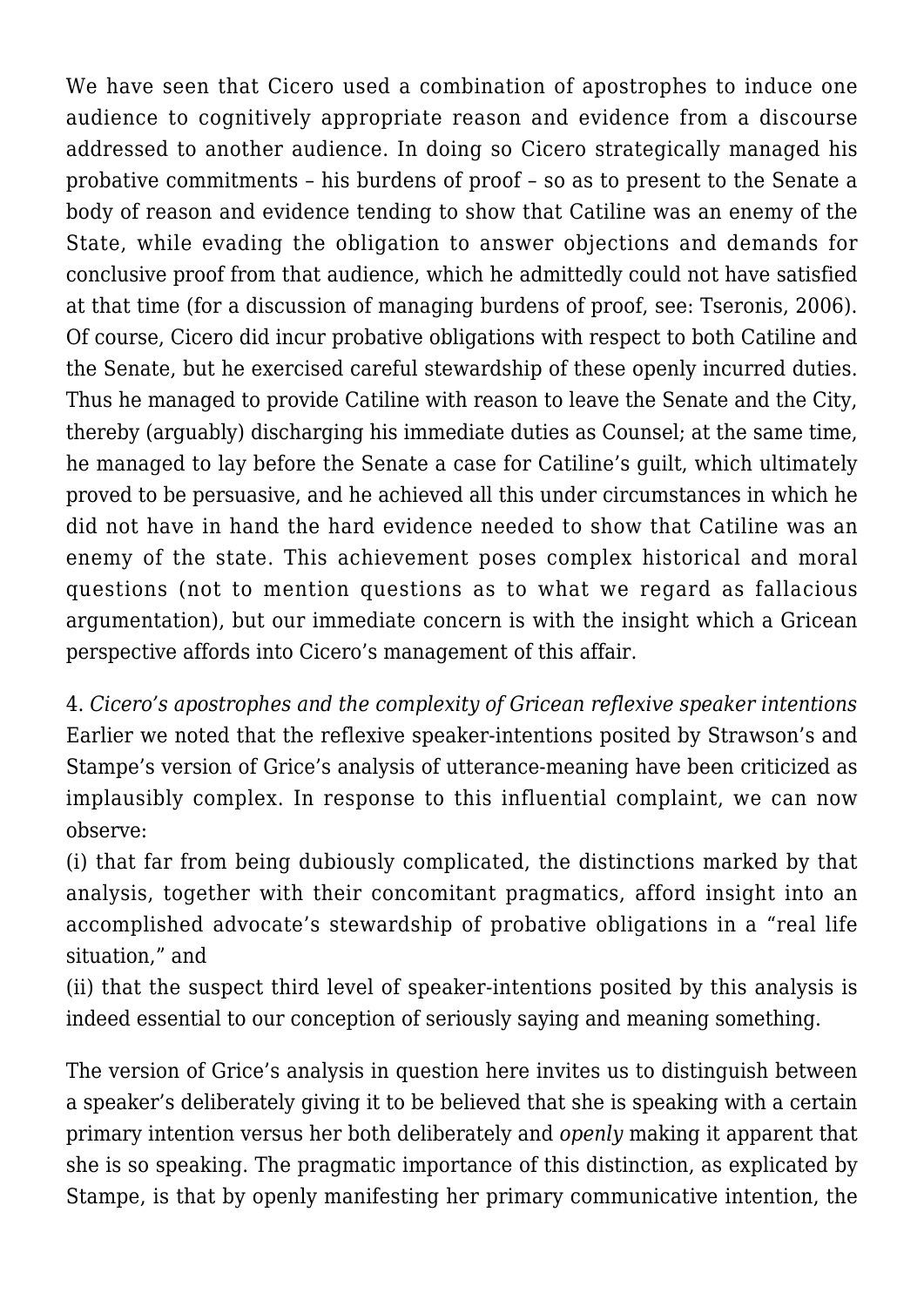We have seen that Cicero used a combination of apostrophes to induce one audience to cognitively appropriate reason and evidence from a discourse addressed to another audience. In doing so Cicero strategically managed his probative commitments – his burdens of proof – so as to present to the Senate a body of reason and evidence tending to show that Catiline was an enemy of the State, while evading the obligation to answer objections and demands for conclusive proof from that audience, which he admittedly could not have satisfied at that time (for a discussion of managing burdens of proof, see: Tseronis, 2006). Of course, Cicero did incur probative obligations with respect to both Catiline and the Senate, but he exercised careful stewardship of these openly incurred duties. Thus he managed to provide Catiline with reason to leave the Senate and the City, thereby (arguably) discharging his immediate duties as Counsel; at the same time, he managed to lay before the Senate a case for Catiline's guilt, which ultimately proved to be persuasive, and he achieved all this under circumstances in which he did not have in hand the hard evidence needed to show that Catiline was an enemy of the state. This achievement poses complex historical and moral questions (not to mention questions as to what we regard as fallacious argumentation), but our immediate concern is with the insight which a Gricean perspective affords into Cicero's management of this affair.

4. *Cicero's apostrophes and the complexity of Gricean reflexive speaker intentions* Earlier we noted that the reflexive speaker-intentions posited by Strawson's and Stampe's version of Grice's analysis of utterance-meaning have been criticized as implausibly complex. In response to this influential complaint, we can now observe:

(i) that far from being dubiously complicated, the distinctions marked by that analysis, together with their concomitant pragmatics, afford insight into an accomplished advocate's stewardship of probative obligations in a "real life situation," and

(ii) that the suspect third level of speaker-intentions posited by this analysis is indeed essential to our conception of seriously saying and meaning something.

The version of Grice's analysis in question here invites us to distinguish between a speaker's deliberately giving it to be believed that she is speaking with a certain primary intention versus her both deliberately and *openly* making it apparent that she is so speaking. The pragmatic importance of this distinction, as explicated by Stampe, is that by openly manifesting her primary communicative intention, the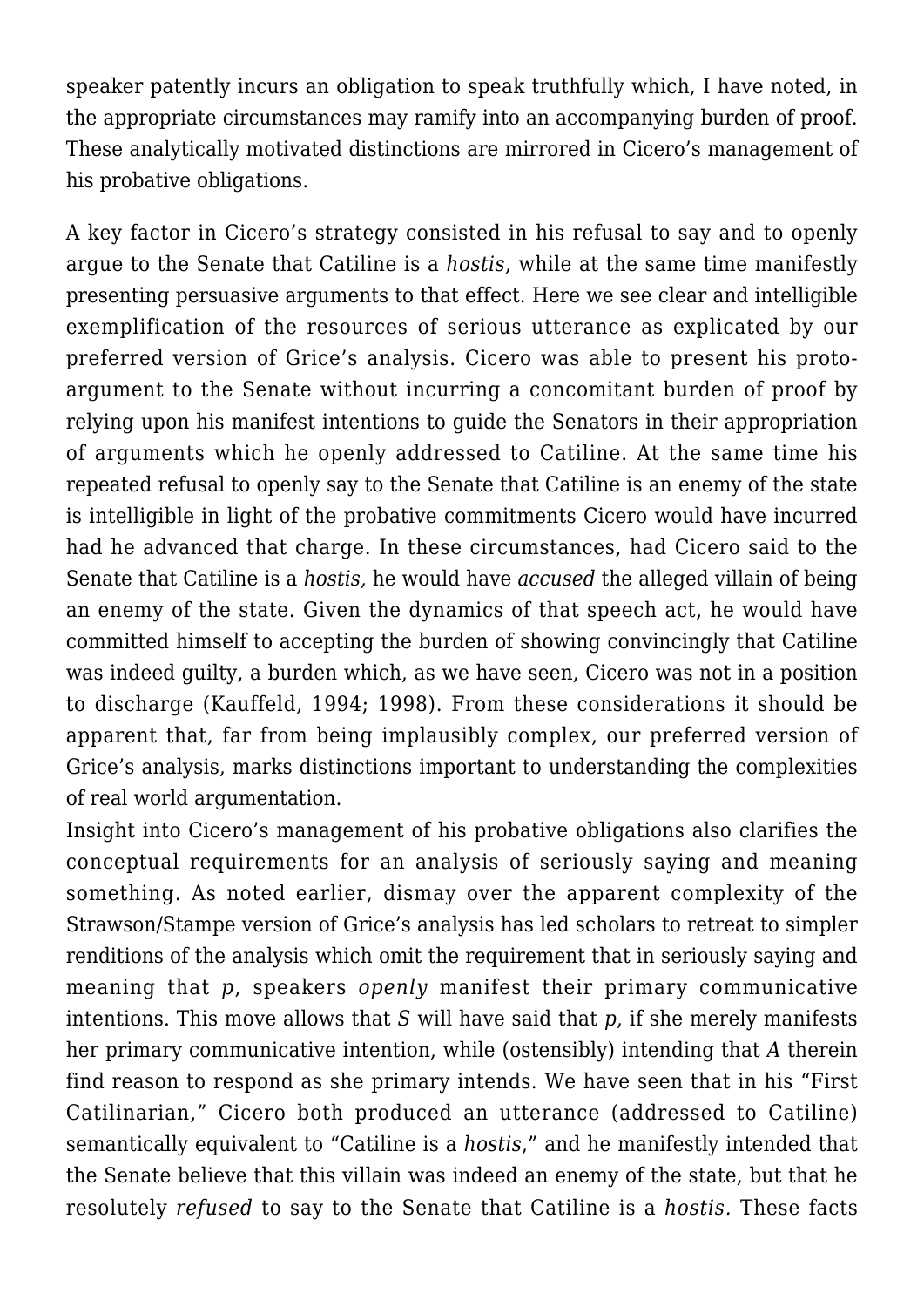speaker patently incurs an obligation to speak truthfully which, I have noted, in the appropriate circumstances may ramify into an accompanying burden of proof. These analytically motivated distinctions are mirrored in Cicero's management of his probative obligations.

A key factor in Cicero's strategy consisted in his refusal to say and to openly argue to the Senate that Catiline is a *hostis*, while at the same time manifestly presenting persuasive arguments to that effect. Here we see clear and intelligible exemplification of the resources of serious utterance as explicated by our preferred version of Grice's analysis. Cicero was able to present his protoargument to the Senate without incurring a concomitant burden of proof by relying upon his manifest intentions to guide the Senators in their appropriation of arguments which he openly addressed to Catiline. At the same time his repeated refusal to openly say to the Senate that Catiline is an enemy of the state is intelligible in light of the probative commitments Cicero would have incurred had he advanced that charge. In these circumstances, had Cicero said to the Senate that Catiline is a *hostis,* he would have *accused* the alleged villain of being an enemy of the state. Given the dynamics of that speech act, he would have committed himself to accepting the burden of showing convincingly that Catiline was indeed guilty, a burden which, as we have seen, Cicero was not in a position to discharge (Kauffeld, 1994; 1998). From these considerations it should be apparent that, far from being implausibly complex, our preferred version of Grice's analysis, marks distinctions important to understanding the complexities of real world argumentation.

Insight into Cicero's management of his probative obligations also clarifies the conceptual requirements for an analysis of seriously saying and meaning something. As noted earlier, dismay over the apparent complexity of the Strawson/Stampe version of Grice's analysis has led scholars to retreat to simpler renditions of the analysis which omit the requirement that in seriously saying and meaning that *p*, speakers *openly* manifest their primary communicative intentions. This move allows that *S* will have said that *p*, if she merely manifests her primary communicative intention, while (ostensibly) intending that *A* therein find reason to respond as she primary intends. We have seen that in his "First Catilinarian," Cicero both produced an utterance (addressed to Catiline) semantically equivalent to "Catiline is a *hostis*," and he manifestly intended that the Senate believe that this villain was indeed an enemy of the state, but that he resolutely *refused* to say to the Senate that Catiline is a *hostis.* These facts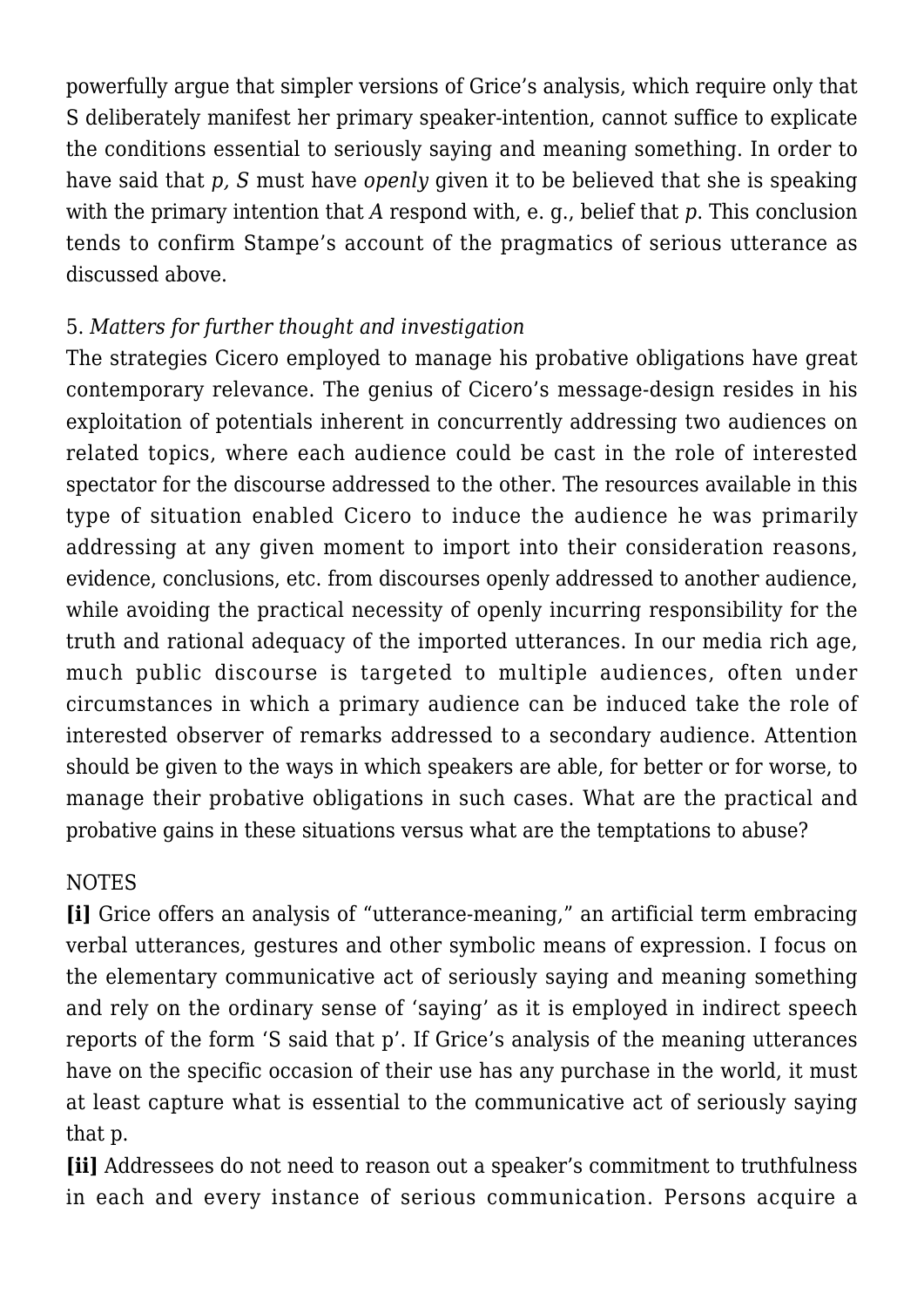powerfully argue that simpler versions of Grice's analysis, which require only that S deliberately manifest her primary speaker-intention, cannot suffice to explicate the conditions essential to seriously saying and meaning something. In order to have said that *p, S* must have *openly* given it to be believed that she is speaking with the primary intention that *A* respond with, e. g., belief that *p*. This conclusion tends to confirm Stampe's account of the pragmatics of serious utterance as discussed above.

### 5. *Matters for further thought and investigation*

The strategies Cicero employed to manage his probative obligations have great contemporary relevance. The genius of Cicero's message-design resides in his exploitation of potentials inherent in concurrently addressing two audiences on related topics, where each audience could be cast in the role of interested spectator for the discourse addressed to the other. The resources available in this type of situation enabled Cicero to induce the audience he was primarily addressing at any given moment to import into their consideration reasons, evidence, conclusions, etc. from discourses openly addressed to another audience, while avoiding the practical necessity of openly incurring responsibility for the truth and rational adequacy of the imported utterances. In our media rich age, much public discourse is targeted to multiple audiences, often under circumstances in which a primary audience can be induced take the role of interested observer of remarks addressed to a secondary audience. Attention should be given to the ways in which speakers are able, for better or for worse, to manage their probative obligations in such cases. What are the practical and probative gains in these situations versus what are the temptations to abuse?

#### NOTES

**[i]** Grice offers an analysis of "utterance-meaning," an artificial term embracing verbal utterances, gestures and other symbolic means of expression. I focus on the elementary communicative act of seriously saying and meaning something and rely on the ordinary sense of 'saying' as it is employed in indirect speech reports of the form 'S said that p'. If Grice's analysis of the meaning utterances have on the specific occasion of their use has any purchase in the world, it must at least capture what is essential to the communicative act of seriously saying that p.

**[ii]** Addressees do not need to reason out a speaker's commitment to truthfulness in each and every instance of serious communication. Persons acquire a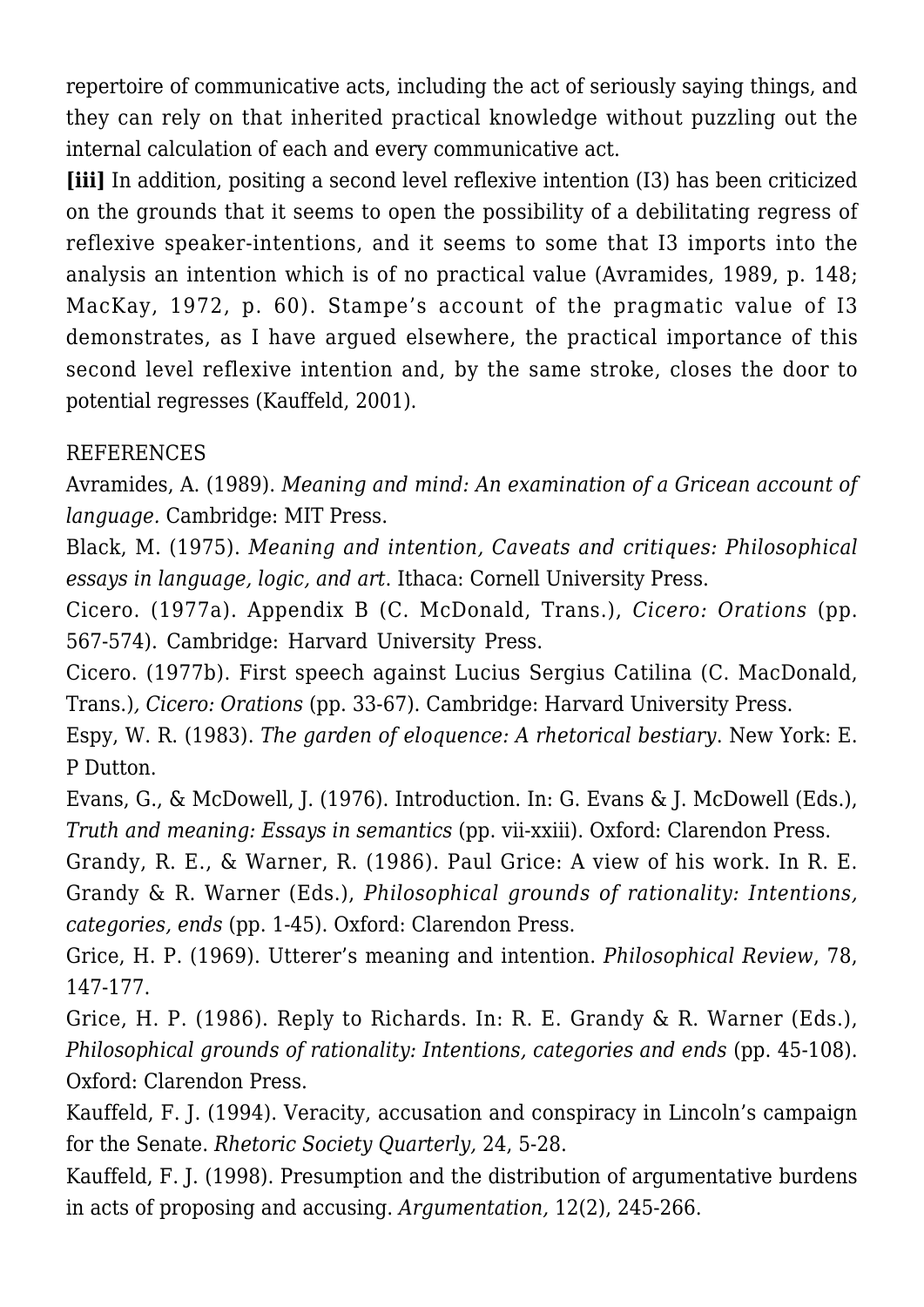repertoire of communicative acts, including the act of seriously saying things, and they can rely on that inherited practical knowledge without puzzling out the internal calculation of each and every communicative act.

**[iii]** In addition, positing a second level reflexive intention (I3) has been criticized on the grounds that it seems to open the possibility of a debilitating regress of reflexive speaker-intentions, and it seems to some that I3 imports into the analysis an intention which is of no practical value (Avramides, 1989, p. 148; MacKay, 1972, p. 60). Stampe's account of the pragmatic value of I3 demonstrates, as I have argued elsewhere, the practical importance of this second level reflexive intention and, by the same stroke, closes the door to potential regresses (Kauffeld, 2001).

## **REFERENCES**

Avramides, A. (1989). *Meaning and mind: An examination of a Gricean account of language.* Cambridge: MIT Press.

Black, M. (1975). *Meaning and intention, Caveats and critiques: Philosophical essays in language, logic, and art*. Ithaca: Cornell University Press.

Cicero. (1977a). Appendix B (C. McDonald, Trans.), *Cicero: Orations* (pp. 567-574). Cambridge: Harvard University Press.

Cicero. (1977b). First speech against Lucius Sergius Catilina (C. MacDonald, Trans.)*, Cicero: Orations* (pp. 33-67). Cambridge: Harvard University Press.

Espy, W. R. (1983). *The garden of eloquence: A rhetorical bestiary*. New York: E. P Dutton.

Evans, G., & McDowell, J. (1976). Introduction. In: G. Evans & J. McDowell (Eds.), *Truth and meaning: Essays in semantics* (pp. vii-xxiii). Oxford: Clarendon Press.

Grandy, R. E., & Warner, R. (1986). Paul Grice: A view of his work. In R. E. Grandy & R. Warner (Eds.), *Philosophical grounds of rationality: Intentions, categories, ends* (pp. 1-45). Oxford: Clarendon Press.

Grice, H. P. (1969). Utterer's meaning and intention. *Philosophical Review*, 78, 147-177.

Grice, H. P. (1986). Reply to Richards. In: R. E. Grandy & R. Warner (Eds.), *Philosophical grounds of rationality: Intentions, categories and ends* (pp. 45-108). Oxford: Clarendon Press.

Kauffeld, F. J. (1994). Veracity, accusation and conspiracy in Lincoln's campaign for the Senate. *Rhetoric Society Quarterly,* 24, 5-28.

Kauffeld, F. J. (1998). Presumption and the distribution of argumentative burdens in acts of proposing and accusing. *Argumentation,* 12(2), 245-266.